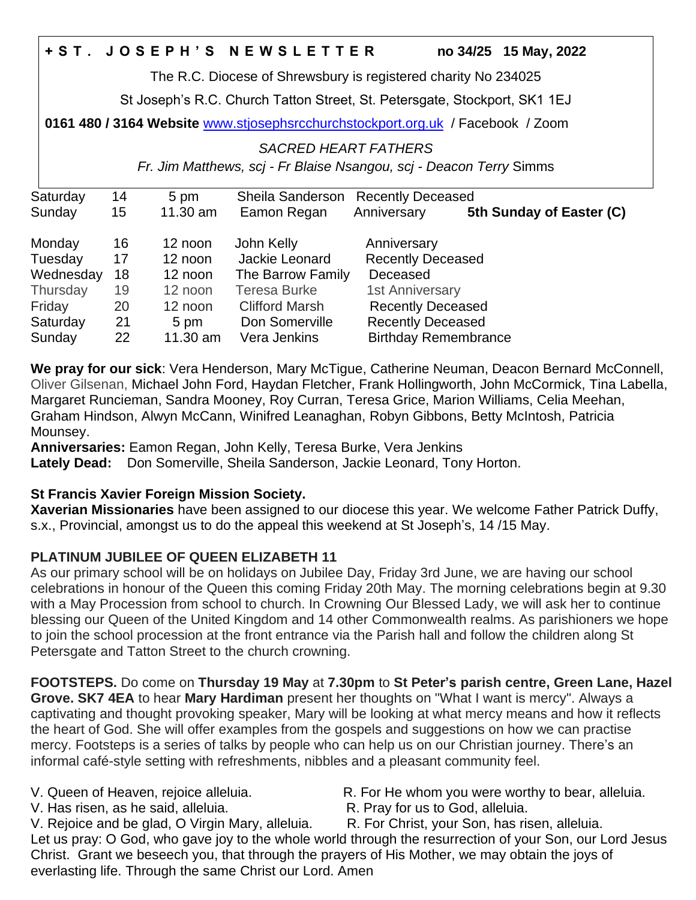# **+ S T . J O S E P H ' S N E W S L E T T E R no 34/25 15 May, 2022**

The R.C. Diocese of Shrewsbury is registered charity No 234025

St Joseph's R.C. Church Tatton Street, St. Petersgate, Stockport, SK1 1EJ

**0161 480 / 3164 Website** [www.stjosephsrcchurchstockport.org.uk](http://www.stjosephsrcchurchstockport.org.uk/) / Facebook / Zoom

#### *SACRED HEART FATHERS*

*Fr. Jim Matthews, scj - Fr Blaise Nsangou, scj - Deacon Terry* Simms

| Saturday  | 14 | 5 pm       | Sheila Sanderson      | <b>Recently Deceased</b>    |                          |
|-----------|----|------------|-----------------------|-----------------------------|--------------------------|
| Sunday    | 15 | $11.30$ am | Eamon Regan           | Anniversary                 | 5th Sunday of Easter (C) |
| Monday    | 16 | 12 noon    | John Kelly            | Anniversary                 |                          |
| Tuesday   | 17 | 12 noon    | Jackie Leonard        | <b>Recently Deceased</b>    |                          |
| Wednesday | 18 | 12 noon    | The Barrow Family     | Deceased                    |                          |
| Thursday  | 19 | 12 noon    | <b>Teresa Burke</b>   | <b>1st Anniversary</b>      |                          |
| Friday    | 20 | 12 noon    | <b>Clifford Marsh</b> | <b>Recently Deceased</b>    |                          |
| Saturday  | 21 | 5 pm       | Don Somerville        | <b>Recently Deceased</b>    |                          |
| Sunday    | 22 | 11.30 am   | Vera Jenkins          | <b>Birthday Remembrance</b> |                          |

**We pray for our sick**: Vera Henderson, Mary McTigue, Catherine Neuman, Deacon Bernard McConnell, Oliver Gilsenan, Michael John Ford, Haydan Fletcher, Frank Hollingworth, John McCormick, Tina Labella, Margaret Runcieman, Sandra Mooney, Roy Curran, Teresa Grice, Marion Williams, Celia Meehan, Graham Hindson, Alwyn McCann, Winifred Leanaghan, Robyn Gibbons, Betty McIntosh, Patricia Mounsey.

**Anniversaries:** Eamon Regan, John Kelly, Teresa Burke, Vera Jenkins

**Lately Dead:** Don Somerville, Sheila Sanderson, Jackie Leonard, Tony Horton.

## **St Francis Xavier Foreign Mission Society.**

**Xaverian Missionaries** have been assigned to our diocese this year. We welcome Father Patrick Duffy, s.x., Provincial, amongst us to do the appeal this weekend at St Joseph's, 14 /15 May.

## **PLATINUM JUBILEE OF QUEEN ELIZABETH 11**

As our primary school will be on holidays on Jubilee Day, Friday 3rd June, we are having our school celebrations in honour of the Queen this coming Friday 20th May. The morning celebrations begin at 9.30 with a May Procession from school to church. In Crowning Our Blessed Lady, we will ask her to continue blessing our Queen of the United Kingdom and 14 other Commonwealth realms. As parishioners we hope to join the school procession at the front entrance via the Parish hall and follow the children along St Petersgate and Tatton Street to the church crowning.

**FOOTSTEPS.** Do come on **Thursday 19 May** at **7.30pm** to **St Peter's parish centre, Green Lane, Hazel Grove. SK7 4EA** to hear **Mary Hardiman** present her thoughts on "What I want is mercy". Always a captivating and thought provoking speaker, Mary will be looking at what mercy means and how it reflects the heart of God. She will offer examples from the gospels and suggestions on how we can practise mercy. Footsteps is a series of talks by people who can help us on our Christian journey. There's an informal café-style setting with refreshments, nibbles and a pleasant community feel.

V. Has risen, as he said, alleluia. R. Pray for us to God, alleluia.

V. Queen of Heaven, rejoice alleluia. R. For He whom you were worthy to bear, alleluia.

V. Rejoice and be glad, O Virgin Mary, alleluia. R. For Christ, your Son, has risen, alleluia. Let us pray: O God, who gave joy to the whole world through the resurrection of your Son, our Lord Jesus Christ. Grant we beseech you, that through the prayers of His Mother, we may obtain the joys of everlasting life. Through the same Christ our Lord. Amen